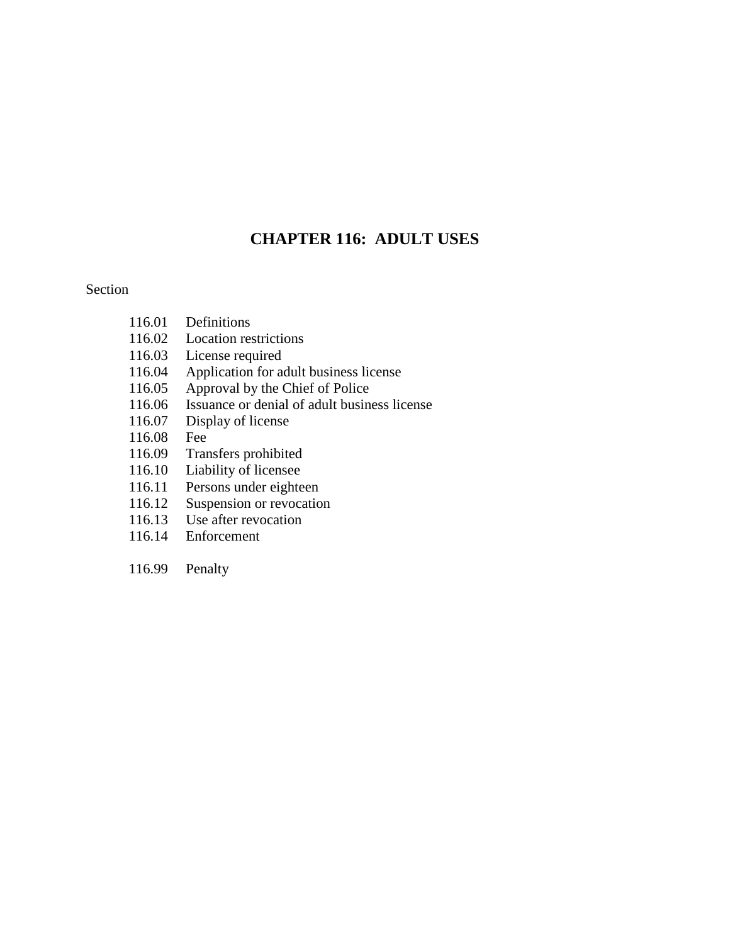# **CHAPTER 116: ADULT USES**

#### Section

| 116.01 | Definitions                                  |
|--------|----------------------------------------------|
| 116.02 | <b>Location restrictions</b>                 |
| 116.03 | License required                             |
| 116.04 | Application for adult business license       |
| 116.05 | Approval by the Chief of Police              |
| 116.06 | Issuance or denial of adult business license |
| 116.07 | Display of license                           |
| 116.08 | Fee                                          |
| 116.09 | Transfers prohibited                         |
| 116.10 | Liability of licensee                        |
| 116.11 | Persons under eighteen                       |
| 116.12 | Suspension or revocation                     |
| 116.13 | Use after revocation                         |
|        |                                              |

- 116.14 Enforcement
- 116.99 Penalty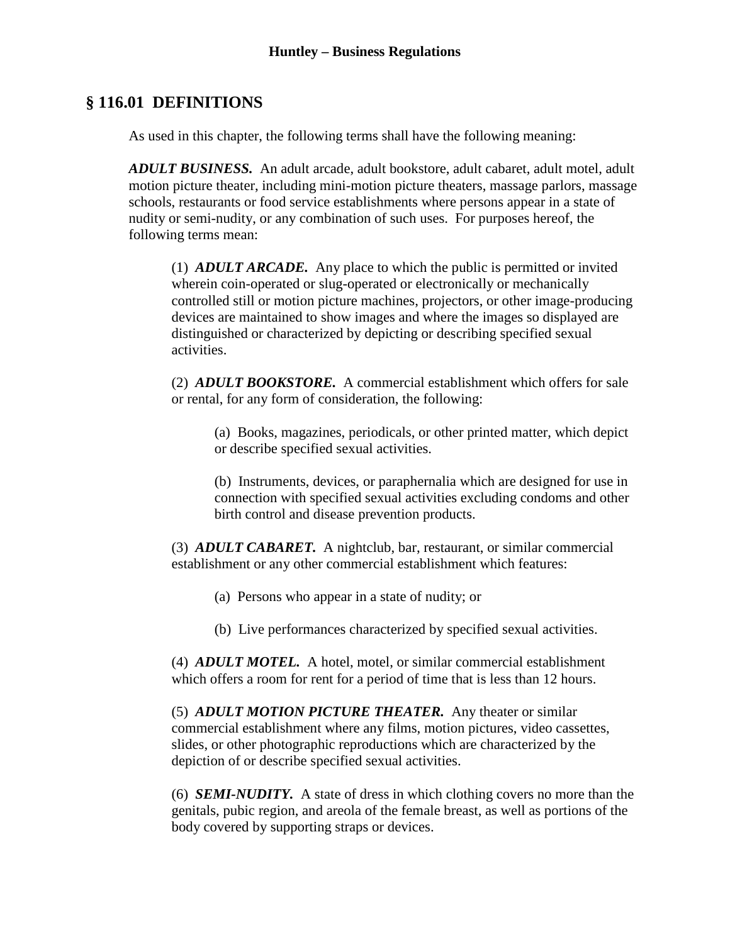# **§ 116.01 DEFINITIONS**

As used in this chapter, the following terms shall have the following meaning:

*ADULT BUSINESS.* An adult arcade, adult bookstore, adult cabaret, adult motel, adult motion picture theater, including mini-motion picture theaters, massage parlors, massage schools, restaurants or food service establishments where persons appear in a state of nudity or semi-nudity, or any combination of such uses. For purposes hereof, the following terms mean:

(1) *ADULT ARCADE.* Any place to which the public is permitted or invited wherein coin-operated or slug-operated or electronically or mechanically controlled still or motion picture machines, projectors, or other image-producing devices are maintained to show images and where the images so displayed are distinguished or characterized by depicting or describing specified sexual activities.

(2) *ADULT BOOKSTORE.* A commercial establishment which offers for sale or rental, for any form of consideration, the following:

(a) Books, magazines, periodicals, or other printed matter, which depict or describe specified sexual activities.

(b) Instruments, devices, or paraphernalia which are designed for use in connection with specified sexual activities excluding condoms and other birth control and disease prevention products.

(3) *ADULT CABARET.* A nightclub, bar, restaurant, or similar commercial establishment or any other commercial establishment which features:

(a) Persons who appear in a state of nudity; or

(b) Live performances characterized by specified sexual activities.

(4) *ADULT MOTEL.* A hotel, motel, or similar commercial establishment which offers a room for rent for a period of time that is less than 12 hours.

(5) *ADULT MOTION PICTURE THEATER.* Any theater or similar commercial establishment where any films, motion pictures, video cassettes, slides, or other photographic reproductions which are characterized by the depiction of or describe specified sexual activities.

(6) *SEMI-NUDITY.* A state of dress in which clothing covers no more than the genitals, pubic region, and areola of the female breast, as well as portions of the body covered by supporting straps or devices.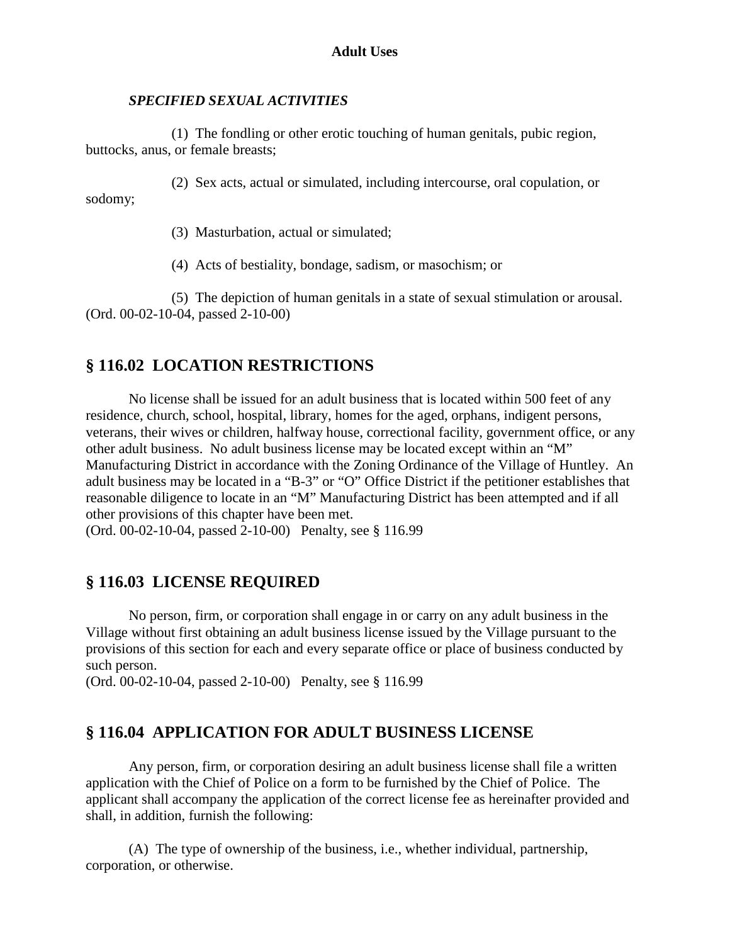#### *SPECIFIED SEXUAL ACTIVITIES*

(1) The fondling or other erotic touching of human genitals, pubic region, buttocks, anus, or female breasts;

(2) Sex acts, actual or simulated, including intercourse, oral copulation, or sodomy;

(3) Masturbation, actual or simulated;

(4) Acts of bestiality, bondage, sadism, or masochism; or

(5) The depiction of human genitals in a state of sexual stimulation or arousal. (Ord. 00-02-10-04, passed 2-10-00)

# **§ 116.02 LOCATION RESTRICTIONS**

No license shall be issued for an adult business that is located within 500 feet of any residence, church, school, hospital, library, homes for the aged, orphans, indigent persons, veterans, their wives or children, halfway house, correctional facility, government office, or any other adult business. No adult business license may be located except within an "M" Manufacturing District in accordance with the Zoning Ordinance of the Village of Huntley. An adult business may be located in a "B-3" or "O" Office District if the petitioner establishes that reasonable diligence to locate in an "M" Manufacturing District has been attempted and if all other provisions of this chapter have been met.

(Ord. 00-02-10-04, passed 2-10-00) Penalty, see § 116.99

# **§ 116.03 LICENSE REQUIRED**

No person, firm, or corporation shall engage in or carry on any adult business in the Village without first obtaining an adult business license issued by the Village pursuant to the provisions of this section for each and every separate office or place of business conducted by such person.

(Ord. 00-02-10-04, passed 2-10-00) Penalty, see § 116.99

# **§ 116.04 APPLICATION FOR ADULT BUSINESS LICENSE**

Any person, firm, or corporation desiring an adult business license shall file a written application with the Chief of Police on a form to be furnished by the Chief of Police. The applicant shall accompany the application of the correct license fee as hereinafter provided and shall, in addition, furnish the following:

(A) The type of ownership of the business, i.e., whether individual, partnership, corporation, or otherwise.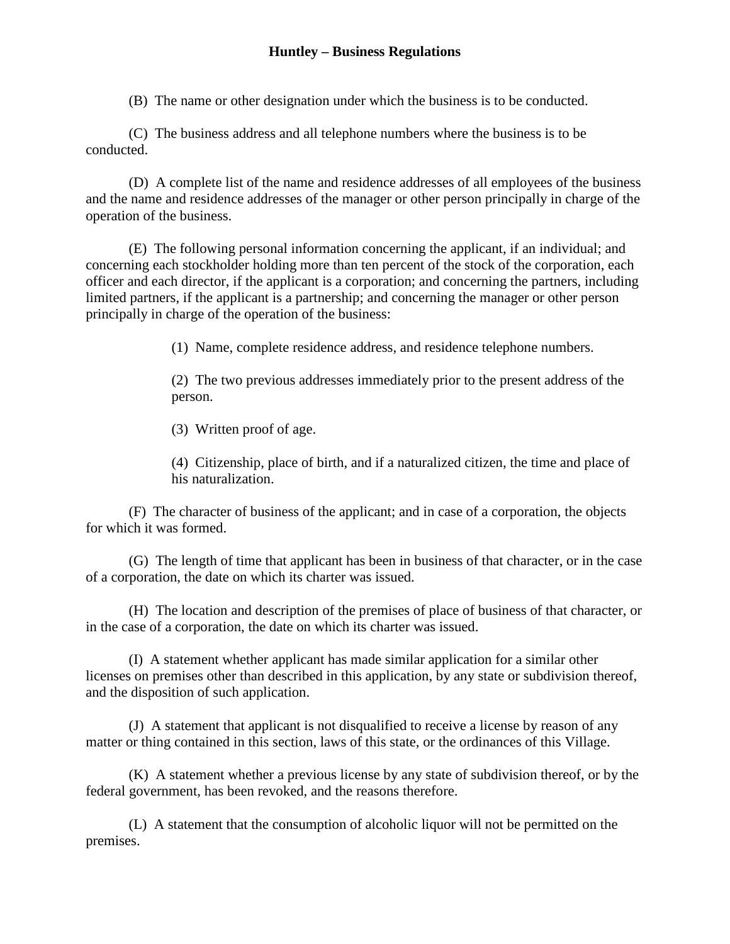#### **Huntley – Business Regulations**

(B) The name or other designation under which the business is to be conducted.

(C) The business address and all telephone numbers where the business is to be conducted.

(D) A complete list of the name and residence addresses of all employees of the business and the name and residence addresses of the manager or other person principally in charge of the operation of the business.

(E) The following personal information concerning the applicant, if an individual; and concerning each stockholder holding more than ten percent of the stock of the corporation, each officer and each director, if the applicant is a corporation; and concerning the partners, including limited partners, if the applicant is a partnership; and concerning the manager or other person principally in charge of the operation of the business:

(1) Name, complete residence address, and residence telephone numbers.

(2) The two previous addresses immediately prior to the present address of the person.

(3) Written proof of age.

(4) Citizenship, place of birth, and if a naturalized citizen, the time and place of his naturalization.

(F) The character of business of the applicant; and in case of a corporation, the objects for which it was formed.

(G) The length of time that applicant has been in business of that character, or in the case of a corporation, the date on which its charter was issued.

(H) The location and description of the premises of place of business of that character, or in the case of a corporation, the date on which its charter was issued.

(I) A statement whether applicant has made similar application for a similar other licenses on premises other than described in this application, by any state or subdivision thereof, and the disposition of such application.

(J) A statement that applicant is not disqualified to receive a license by reason of any matter or thing contained in this section, laws of this state, or the ordinances of this Village.

(K) A statement whether a previous license by any state of subdivision thereof, or by the federal government, has been revoked, and the reasons therefore.

(L) A statement that the consumption of alcoholic liquor will not be permitted on the premises.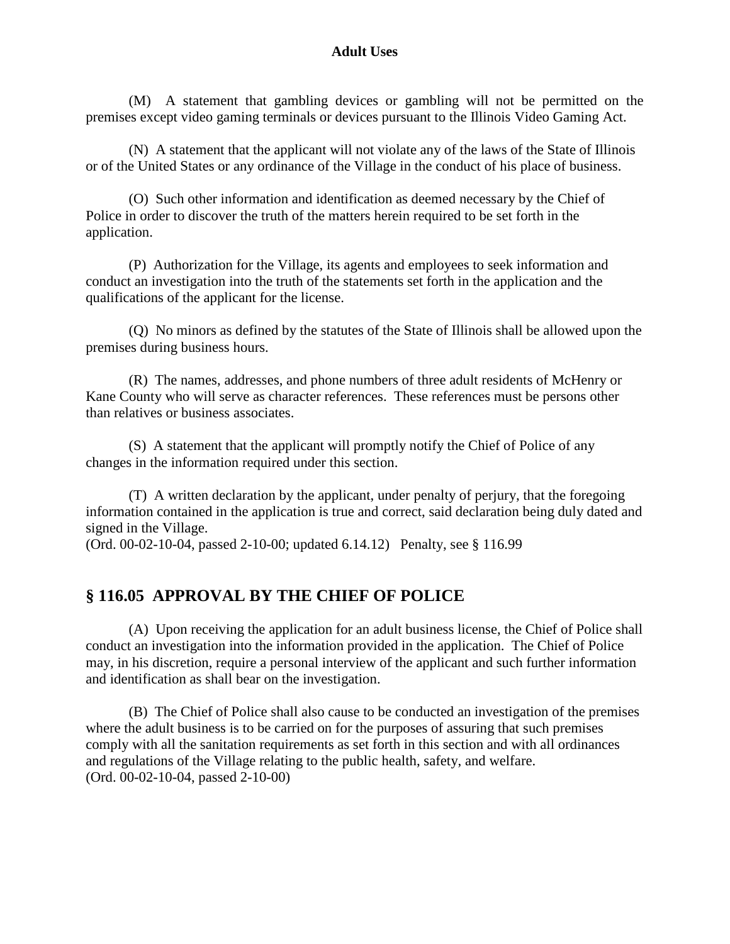#### **Adult Uses**

(M) A statement that gambling devices or gambling will not be permitted on the premises except video gaming terminals or devices pursuant to the Illinois Video Gaming Act.

(N) A statement that the applicant will not violate any of the laws of the State of Illinois or of the United States or any ordinance of the Village in the conduct of his place of business.

(O) Such other information and identification as deemed necessary by the Chief of Police in order to discover the truth of the matters herein required to be set forth in the application.

(P) Authorization for the Village, its agents and employees to seek information and conduct an investigation into the truth of the statements set forth in the application and the qualifications of the applicant for the license.

(Q) No minors as defined by the statutes of the State of Illinois shall be allowed upon the premises during business hours.

(R) The names, addresses, and phone numbers of three adult residents of McHenry or Kane County who will serve as character references. These references must be persons other than relatives or business associates.

(S) A statement that the applicant will promptly notify the Chief of Police of any changes in the information required under this section.

(T) A written declaration by the applicant, under penalty of perjury, that the foregoing information contained in the application is true and correct, said declaration being duly dated and signed in the Village.

(Ord. 00-02-10-04, passed 2-10-00; updated 6.14.12) Penalty, see § 116.99

# **§ 116.05 APPROVAL BY THE CHIEF OF POLICE**

(A) Upon receiving the application for an adult business license, the Chief of Police shall conduct an investigation into the information provided in the application. The Chief of Police may, in his discretion, require a personal interview of the applicant and such further information and identification as shall bear on the investigation.

(B) The Chief of Police shall also cause to be conducted an investigation of the premises where the adult business is to be carried on for the purposes of assuring that such premises comply with all the sanitation requirements as set forth in this section and with all ordinances and regulations of the Village relating to the public health, safety, and welfare. (Ord. 00-02-10-04, passed 2-10-00)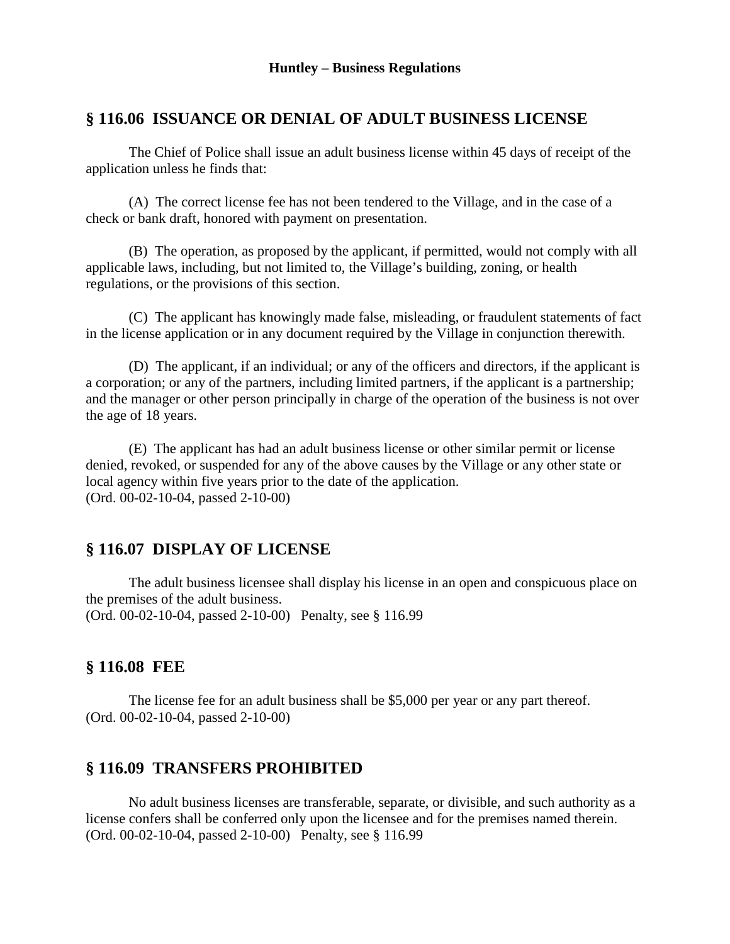#### **§ 116.06 ISSUANCE OR DENIAL OF ADULT BUSINESS LICENSE**

The Chief of Police shall issue an adult business license within 45 days of receipt of the application unless he finds that:

(A) The correct license fee has not been tendered to the Village, and in the case of a check or bank draft, honored with payment on presentation.

(B) The operation, as proposed by the applicant, if permitted, would not comply with all applicable laws, including, but not limited to, the Village's building, zoning, or health regulations, or the provisions of this section.

(C) The applicant has knowingly made false, misleading, or fraudulent statements of fact in the license application or in any document required by the Village in conjunction therewith.

(D) The applicant, if an individual; or any of the officers and directors, if the applicant is a corporation; or any of the partners, including limited partners, if the applicant is a partnership; and the manager or other person principally in charge of the operation of the business is not over the age of 18 years.

(E) The applicant has had an adult business license or other similar permit or license denied, revoked, or suspended for any of the above causes by the Village or any other state or local agency within five years prior to the date of the application. (Ord. 00-02-10-04, passed 2-10-00)

# **§ 116.07 DISPLAY OF LICENSE**

The adult business licensee shall display his license in an open and conspicuous place on the premises of the adult business. (Ord. 00-02-10-04, passed 2-10-00) Penalty, see § 116.99

# **§ 116.08 FEE**

The license fee for an adult business shall be \$5,000 per year or any part thereof. (Ord. 00-02-10-04, passed 2-10-00)

# **§ 116.09 TRANSFERS PROHIBITED**

No adult business licenses are transferable, separate, or divisible, and such authority as a license confers shall be conferred only upon the licensee and for the premises named therein. (Ord. 00-02-10-04, passed 2-10-00) Penalty, see § 116.99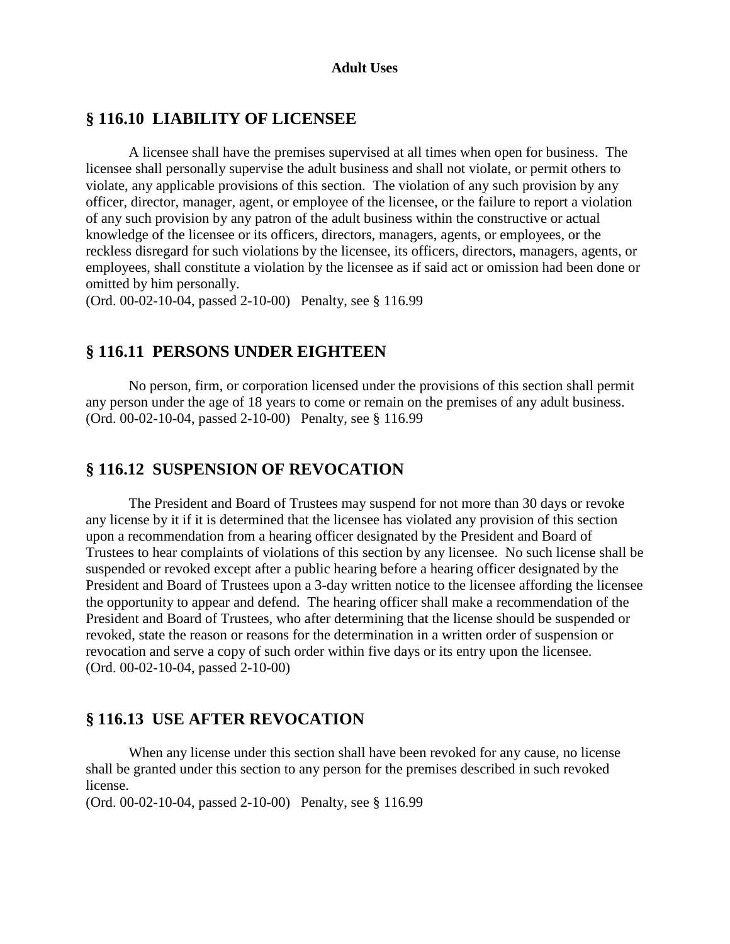#### **Adult Uses**

#### **§ 116.10 LIABILITY OF LICENSEE**

A licensee shall have the premises supervised at all times when open for business. The licensee shall personally supervise the adult business and shall not violate, or permit others to violate, any applicable provisions of this section. The violation of any such provision by any officer, director, manager, agent, or employee of the licensee, or the failure to report a violation of any such provision by any patron of the adult business within the constructive or actual knowledge of the licensee or its officers, directors, managers, agents, or employees, or the reckless disregard for such violations by the licensee, its officers, directors, managers, agents, or employees, shall constitute a violation by the licensee as if said act or omission had been done or omitted by him personally.

(Ord. 00-02-10-04, passed 2-10-00) Penalty, see § 116.99

#### **§ 116.11 PERSONS UNDER EIGHTEEN**

No person, firm, or corporation licensed under the provisions of this section shall permit any person under the age of 18 years to come or remain on the premises of any adult business. (Ord. 00-02-10-04, passed 2-10-00) Penalty, see § 116.99

#### **§ 116.12 SUSPENSION OF REVOCATION**

The President and Board of Trustees may suspend for not more than 30 days or revoke any license by it if it is determined that the licensee has violated any provision of this section upon a recommendation from a hearing officer designated by the President and Board of Trustees to hear complaints of violations of this section by any licensee. No such license shall be suspended or revoked except after a public hearing before a hearing officer designated by the President and Board of Trustees upon a 3-day written notice to the licensee affording the licensee the opportunity to appear and defend. The hearing officer shall make a recommendation of the President and Board of Trustees, who after determining that the license should be suspended or revoked, state the reason or reasons for the determination in a written order of suspension or revocation and serve a copy of such order within five days or its entry upon the licensee. (Ord. 00-02-10-04, passed 2-10-00)

#### **§ 116.13 USE AFTER REVOCATION**

When any license under this section shall have been revoked for any cause, no license shall be granted under this section to any person for the premises described in such revoked license.

(Ord. 00-02-10-04, passed 2-10-00) Penalty, see § 116.99